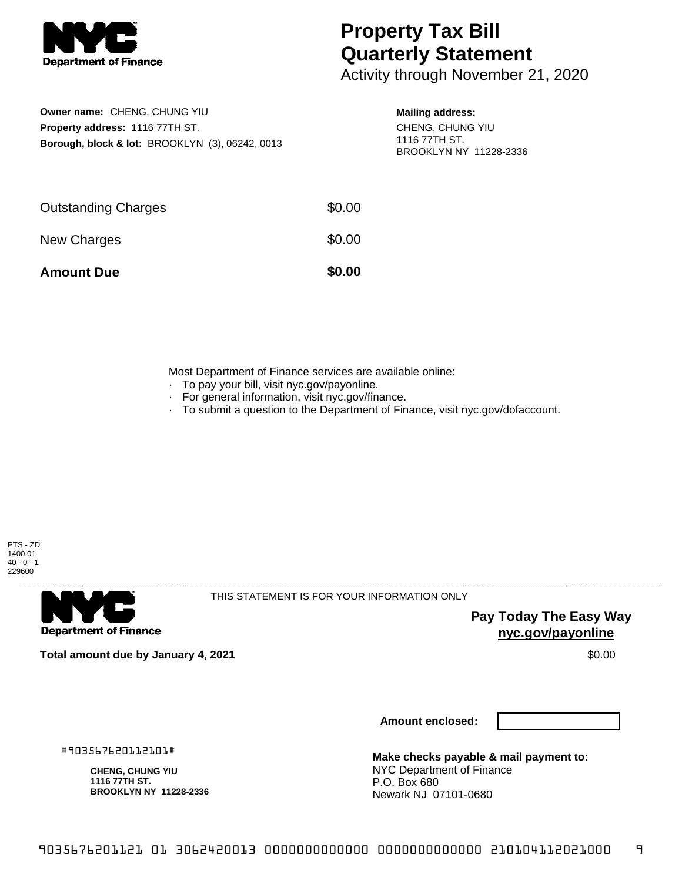

## **Property Tax Bill Quarterly Statement**

Activity through November 21, 2020

| Owner name: CHENG, CHUNG YIU                               |
|------------------------------------------------------------|
| <b>Property address: 1116 77TH ST.</b>                     |
| <b>Borough, block &amp; lot: BROOKLYN (3), 06242, 0013</b> |

## **Mailing address:**

CHENG, CHUNG YIU 1116 77TH ST. BROOKLYN NY 11228-2336

| <b>Amount Due</b>          | \$0.00 |
|----------------------------|--------|
| New Charges                | \$0.00 |
| <b>Outstanding Charges</b> | \$0.00 |

Most Department of Finance services are available online:

- · To pay your bill, visit nyc.gov/payonline.
- For general information, visit nyc.gov/finance.
- · To submit a question to the Department of Finance, visit nyc.gov/dofaccount.



**Department of Finance** 

THIS STATEMENT IS FOR YOUR INFORMATION ONLY

**Pay Today The Easy Way nyc.gov/payonline**

**Total amount due by January 4, 2021** \$0.00

**Amount enclosed:**

#903567620112101#

**CHENG, CHUNG YIU 1116 77TH ST. BROOKLYN NY 11228-2336**

**Make checks payable & mail payment to:** NYC Department of Finance P.O. Box 680 Newark NJ 07101-0680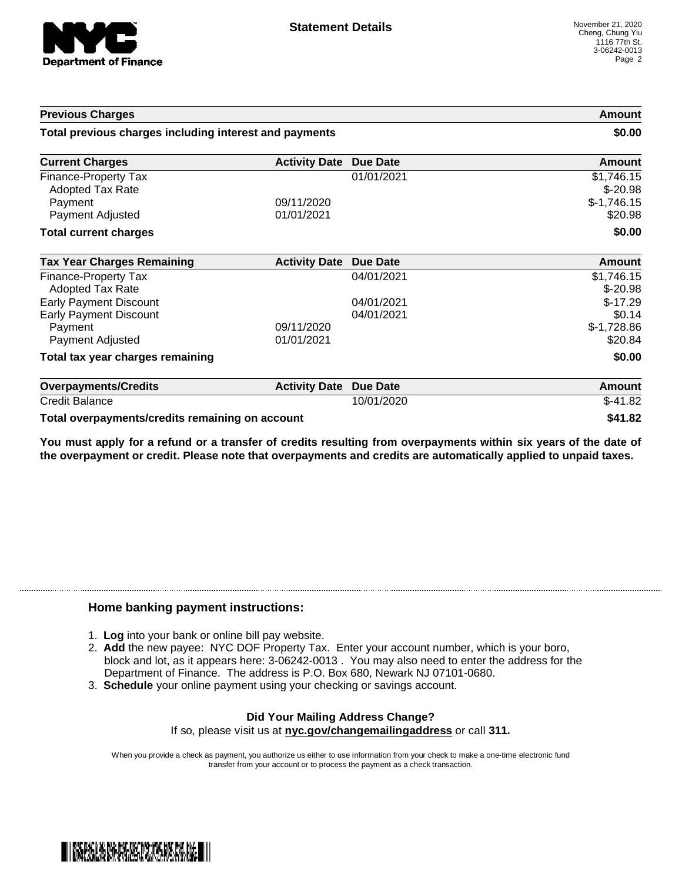

| <b>Previous Charges</b><br>Total previous charges including interest and payments |                          | Amount<br>\$0.00         |                                         |
|-----------------------------------------------------------------------------------|--------------------------|--------------------------|-----------------------------------------|
|                                                                                   |                          |                          | <b>Current Charges</b>                  |
| <b>Finance-Property Tax</b><br><b>Adopted Tax Rate</b><br>Payment                 | 09/11/2020               | 01/01/2021               | \$1,746.15<br>$$-20.98$<br>$$-1,746.15$ |
| Payment Adjusted                                                                  | 01/01/2021               |                          | \$20.98                                 |
| <b>Total current charges</b>                                                      |                          |                          | \$0.00                                  |
| <b>Tax Year Charges Remaining</b>                                                 | <b>Activity Date</b>     | Due Date                 | Amount                                  |
| <b>Finance-Property Tax</b><br><b>Adopted Tax Rate</b>                            |                          | 04/01/2021               | \$1,746.15<br>$$-20.98$                 |
| <b>Early Payment Discount</b><br><b>Early Payment Discount</b>                    |                          | 04/01/2021<br>04/01/2021 | $$-17.29$<br>\$0.14                     |
| Payment<br>Payment Adjusted                                                       | 09/11/2020<br>01/01/2021 |                          | $$-1,728.86$<br>\$20.84                 |
| Total tax year charges remaining                                                  |                          |                          | \$0.00                                  |
| <b>Overpayments/Credits</b>                                                       | <b>Activity Date</b>     | <b>Due Date</b>          | <b>Amount</b>                           |
| <b>Credit Balance</b>                                                             |                          | 10/01/2020               | $$-41.82$                               |

**Total overpayments/credits remaining on account \$41.82**

You must apply for a refund or a transfer of credits resulting from overpayments within six years of the date of **the overpayment or credit. Please note that overpayments and credits are automatically applied to unpaid taxes.**

## **Home banking payment instructions:**

- 1. **Log** into your bank or online bill pay website.
- 2. **Add** the new payee: NYC DOF Property Tax. Enter your account number, which is your boro, block and lot, as it appears here: 3-06242-0013 . You may also need to enter the address for the Department of Finance. The address is P.O. Box 680, Newark NJ 07101-0680.
- 3. **Schedule** your online payment using your checking or savings account.

## **Did Your Mailing Address Change?** If so, please visit us at **nyc.gov/changemailingaddress** or call **311.**

When you provide a check as payment, you authorize us either to use information from your check to make a one-time electronic fund transfer from your account or to process the payment as a check transaction.